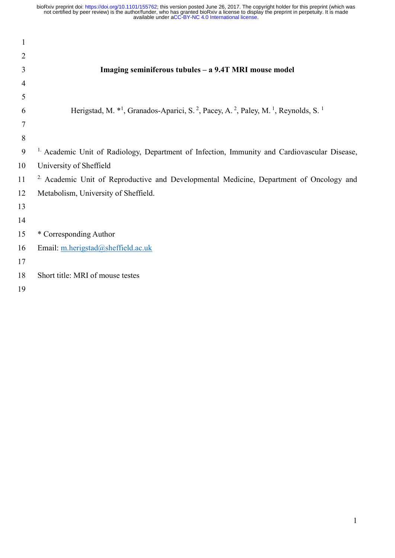| $\mathbf{1}$   |                                                                                                                                                |
|----------------|------------------------------------------------------------------------------------------------------------------------------------------------|
| $\overline{2}$ |                                                                                                                                                |
| 3              | Imaging seminiferous tubules - a 9.4T MRI mouse model                                                                                          |
| 4              |                                                                                                                                                |
| 5              |                                                                                                                                                |
| 6              | Herigstad, M. * <sup>1</sup> , Granados-Aparici, S. <sup>2</sup> , Pacey, A. <sup>2</sup> , Paley, M. <sup>1</sup> , Reynolds, S. <sup>1</sup> |
| 7              |                                                                                                                                                |
| 8              |                                                                                                                                                |
| 9              | <sup>1.</sup> Academic Unit of Radiology, Department of Infection, Immunity and Cardiovascular Disease,                                        |
| 10             | University of Sheffield                                                                                                                        |
| 11             | <sup>2.</sup> Academic Unit of Reproductive and Developmental Medicine, Department of Oncology and                                             |
| 12             | Metabolism, University of Sheffield.                                                                                                           |
| 13             |                                                                                                                                                |
| 14             |                                                                                                                                                |
| 15             | * Corresponding Author                                                                                                                         |
| 16             | Email: m.herigstad@sheffield.ac.uk                                                                                                             |
| 17             |                                                                                                                                                |
| 18             | Short title: MRI of mouse testes                                                                                                               |
| 1 <sub>0</sub> |                                                                                                                                                |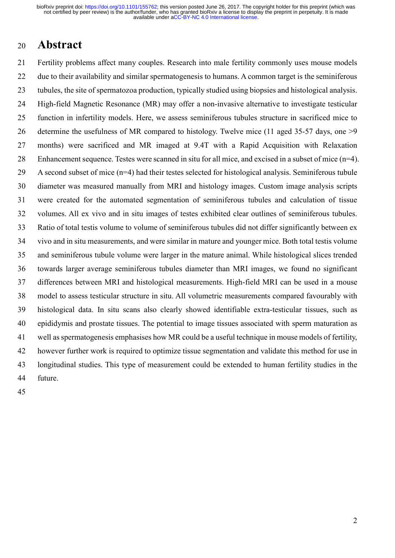#### <sup>20</sup>Abstract

21 Fertility problems affect many couples. Research into male fertility commonly uses mouse models 22 due to their availability and similar spermatogenesis to humans. A common target is the seminiferous 23 tubules, the site of spermatozoa production, typically studied using biopsies and histological analysis. 24 High-field Magnetic Resonance (MR) may offer a non-invasive alternative to investigate testicular 25 function in infertility models. Here, we assess seminiferous tubules structure in sacrificed mice to 26 determine the usefulness of MR compared to histology. Twelve mice (11 aged 35-57 days, one >9 27 months) were sacrificed and MR imaged at 9.4T with a Rapid Acquisition with Relaxation 28 Enhancement sequence. Testes were scanned in situ for all mice, and excised in a subset of mice (n=4). 29 A second subset of mice (n=4) had their testes selected for histological analysis. Seminiferous tubule 30 diameter was measured manually from MRI and histology images. Custom image analysis scripts 31 were created for the automated segmentation of seminiferous tubules and calculation of tissue 32 volumes. All ex vivo and in situ images of testes exhibited clear outlines of seminiferous tubules. 33 Ratio of total testis volume to volume of seminiferous tubules did not differ significantly between ex 34 vivo and in situ measurements, and were similar in mature and younger mice. Both total testis volume 35 and seminiferous tubule volume were larger in the mature animal. While histological slices trended 36 towards larger average seminiferous tubules diameter than MRI images, we found no significant 37 differences between MRI and histological measurements. High-field MRI can be used in a mouse 38 model to assess testicular structure in situ. All volumetric measurements compared favourably with 39 histological data. In situ scans also clearly showed identifiable extra-testicular tissues, such as 40 epididymis and prostate tissues. The potential to image tissues associated with sperm maturation as 41 well as spermatogenesis emphasises how MR could be a useful technique in mouse models of fertility, 42 however further work is required to optimize tissue segmentation and validate this method for use in 43 longitudinal studies. This type of measurement could be extended to human fertility studies in the 44 future.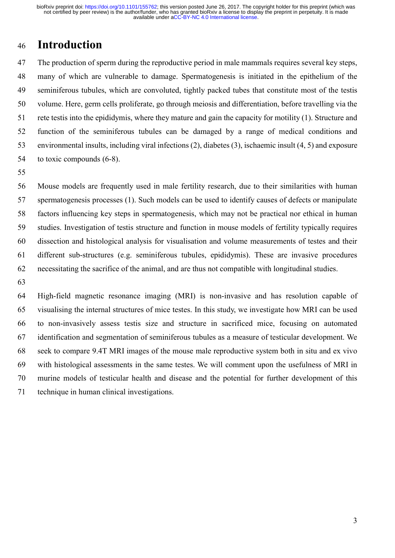# 46 Introduction

47 The production of sperm during the reproductive period in male mammals requires several key steps, 48 many of which are vulnerable to damage. Spermatogenesis is initiated in the epithelium of the 49 seminiferous tubules, which are convoluted, tightly packed tubes that constitute most of the testis 50 volume. Here, germ cells proliferate, go through meiosis and differentiation, before travelling via the 51 rete testis into the epididymis, where they mature and gain the capacity for motility (1). Structure and 52 function of the seminiferous tubules can be damaged by a range of medical conditions and 53 environmental insults, including viral infections (2), diabetes (3), ischaemic insult (4, 5) and exposure 54 to toxic compounds (6-8).

55

56 Mouse models are frequently used in male fertility research, due to their similarities with human 57 spermatogenesis processes (1). Such models can be used to identify causes of defects or manipulate 58 factors influencing key steps in spermatogenesis, which may not be practical nor ethical in human 59 studies. Investigation of testis structure and function in mouse models of fertility typically requires 60 dissection and histological analysis for visualisation and volume measurements of testes and their 61 different sub-structures (e.g. seminiferous tubules, epididymis). These are invasive procedures 62 necessitating the sacrifice of the animal, and are thus not compatible with longitudinal studies.

63

64 High-field magnetic resonance imaging (MRI) is non-invasive and has resolution capable of 65 visualising the internal structures of mice testes. In this study, we investigate how MRI can be used 66 to non-invasively assess testis size and structure in sacrificed mice, focusing on automated 67 identification and segmentation of seminiferous tubules as a measure of testicular development. We 68 seek to compare 9.4T MRI images of the mouse male reproductive system both in situ and ex vivo 69 with histological assessments in the same testes. We will comment upon the usefulness of MRI in 70 murine models of testicular health and disease and the potential for further development of this 71 technique in human clinical investigations.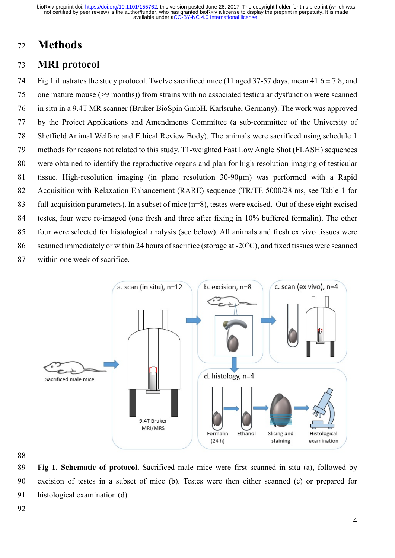## 72 Methods

#### 73 MRI protocol

74 Fig 1 illustrates the study protocol. Twelve sacrificed mice (11 aged 37-57 days, mean  $41.6 \pm 7.8$ , and 75 one mature mouse (>9 months)) from strains with no associated testicular dysfunction were scanned 76 in situ in a 9.4T MR scanner (Bruker BioSpin GmbH, Karlsruhe, Germany). The work was approved 77 by the Project Applications and Amendments Committee (a sub-committee of the University of 78 Sheffield Animal Welfare and Ethical Review Body). The animals were sacrificed using schedule 1 79 methods for reasons not related to this study. T1-weighted Fast Low Angle Shot (FLASH) sequences 80 were obtained to identify the reproductive organs and plan for high-resolution imaging of testicular 81 tissue. High-resolution imaging (in plane resolution 30-90µm) was performed with a Rapid 82 Acquisition with Relaxation Enhancement (RARE) sequence (TR/TE 5000/28 ms, see Table 1 for 83 full acquisition parameters). In a subset of mice (n=8), testes were excised. Out of these eight excised 84 testes, four were re-imaged (one fresh and three after fixing in 10% buffered formalin). The other 85 four were selected for histological analysis (see below). All animals and fresh ex vivo tissues were 86 scanned immediately or within 24 hours of sacrifice (storage at -20°C), and fixed tissues were scanned 87 within one week of sacrifice.



88

89 Fig 1. Schematic of protocol. Sacrificed male mice were first scanned in situ (a), followed by 90 excision of testes in a subset of mice (b). Testes were then either scanned (c) or prepared for 91 histological examination (d).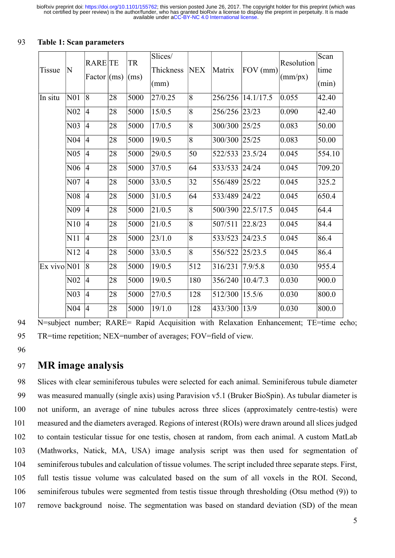|                 | N                | <b>RARE</b> TE      |    | <b>TR</b> | Slices/   | <b>NEX</b>     | Matrix  | FOV (mm)  | Resolution | Scan   |
|-----------------|------------------|---------------------|----|-----------|-----------|----------------|---------|-----------|------------|--------|
| <b>Tissue</b>   |                  | Factor $\vert$ (ms) |    | (ms)      | Thickness |                |         |           | (mm/px)    | time   |
|                 |                  |                     |    |           | (mm)      |                |         |           |            | (min)  |
| In situ         | N <sub>01</sub>  | 8                   | 28 | 5000      | 27/0.25   | 8              | 256/256 | 14.1/17.5 | 0.055      | 42.40  |
|                 | N <sub>0</sub> 2 | 4                   | 28 | 5000      | 15/0.5    | $\overline{8}$ | 256/256 | 23/23     | 0.090      | 42.40  |
|                 | N <sub>03</sub>  | 4                   | 28 | 5000      | 17/0.5    | 8              | 300/300 | 25/25     | 0.083      | 50.00  |
|                 | N <sub>04</sub>  | 4                   | 28 | 5000      | 19/0.5    | 8              | 300/300 | 25/25     | 0.083      | 50.00  |
|                 | N <sub>05</sub>  | 4                   | 28 | 5000      | 29/0.5    | 50             | 522/533 | 23.5/24   | 0.045      | 554.10 |
|                 | N <sub>06</sub>  | 4                   | 28 | 5000      | 37/0.5    | 64             | 533/533 | 24/24     | 0.045      | 709.20 |
|                 | N <sub>07</sub>  | 4                   | 28 | 5000      | 33/0.5    | 32             | 556/489 | 25/22     | 0.045      | 325.2  |
|                 | N <sub>08</sub>  | 4                   | 28 | 5000      | 31/0.5    | 64             | 533/489 | 24/22     | 0.045      | 650.4  |
|                 | N <sub>09</sub>  | $\overline{4}$      | 28 | 5000      | 21/0.5    | 8              | 500/390 | 22.5/17.5 | 0.045      | 64.4   |
|                 | N10              | $\overline{4}$      | 28 | 5000      | 21/0.5    | 8              | 507/511 | 22.8/23   | 0.045      | 84.4   |
|                 | N11              | $\overline{4}$      | 28 | 5000      | 23/1.0    | 8              | 533/523 | 24/23.5   | 0.045      | 86.4   |
|                 | N12              | $\overline{4}$      | 28 | 5000      | 33/0.5    | 8              | 556/522 | 25/23.5   | 0.045      | 86.4   |
| $Ex$ vivo $N01$ |                  | 8                   | 28 | 5000      | 19/0.5    | 512            | 316/231 | 7.9/5.8   | 0.030      | 955.4  |
|                 | N <sub>02</sub>  | $\overline{4}$      | 28 | 5000      | 19/0.5    | 180            | 356/240 | 10.4/7.3  | 0.030      | 900.0  |
|                 | N <sub>03</sub>  | 4                   | 28 | 5000      | 27/0.5    | 128            | 512/300 | 15.5/6    | 0.030      | 800.0  |
|                 | N <sub>04</sub>  | $\overline{4}$      | 28 | 5000      | 19/1.0    | 128            | 433/300 | 13/9      | 0.030      | 800.0  |

#### 93 Table 1: Scan parameters

94 N=subiect number: RARE= Rapid Acquisition with Relaxation Enhancement; TE=time echo; 95 TR=time repetition; NEX=number of averages; FOV=field of view.

96

#### 97 MR image analysis

98 Slices with clear seminiferous tubules were selected for each animal. Seminiferous tubule diameter 99 was measured manually (single axis) using Paravision v5.1 (Bruker BioSpin). As tubular diameter is 100 not uniform, an average of nine tubules across three slices (approximately centre-testis) were 101 measured and the diameters averaged. Regions of interest (ROIs) were drawn around all slices judged 102 to contain testicular tissue for one testis, chosen at random, from each animal. A custom MatLab 103 (Mathworks, Natick, MA, USA) image analysis script was then used for segmentation of 104 seminiferous tubules and calculation of tissue volumes. The script included three separate steps. First, 105 full testis tissue volume was calculated based on the sum of all voxels in the ROI. Second, 106 seminiferous tubules were segmented from testis tissue through thresholding (Otsu method (9)) to 107 remove background noise. The segmentation was based on standard deviation (SD) of the mean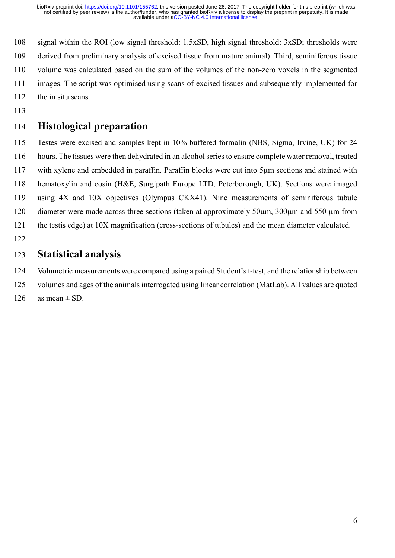108 signal within the ROI (low signal threshold: 1.5xSD, high signal threshold: 3xSD; thresholds were 109 derived from preliminary analysis of excised tissue from mature animal). Third, seminiferous tissue 110 volume was calculated based on the sum of the volumes of the non-zero voxels in the segmented 111 images. The script was optimised using scans of excised tissues and subsequently implemented for 112 the in situ scans.

113

#### 114 Histological preparation

115 Testes were excised and samples kept in 10% buffered formalin (NBS, Sigma, Irvine, UK) for 24 116 hours. The tissues were then dehydrated in an alcohol series to ensure complete water removal, treated 117 with xylene and embedded in paraffin. Paraffin blocks were cut into 5µm sections and stained with 118 hematoxylin and eosin (H&E, Surgipath Europe LTD, Peterborough, UK). Sections were imaged 119 using 4X and 10X objectives (Olympus CKX41). Nine measurements of seminiferous tubule 120 diameter were made across three sections (taken at approximately 50  $\mu$ m, 300 $\mu$ m and 550  $\mu$ m from 121 the testis edge) at 10X magnification (cross-sections of tubules) and the mean diameter calculated. 122

#### 123 Statistical analysis

124 Volumetric measurements were compared using a paired Student's t-test, and the relationship between

- 125 volumes and ages of the animals interrogated using linear correlation (MatLab). All values are quoted
- 126 as mean  $\pm$  SD.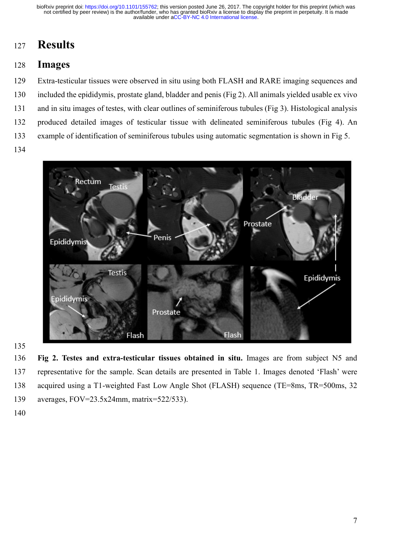# 127 Results

## 128 Images

129 Extra-testicular tissues were observed in situ using both FLASH and RARE imaging sequences and 130 included the epididymis, prostate gland, bladder and penis (Fig 2). All animals yielded usable ex vivo 131 and in situ images of testes, with clear outlines of seminiferous tubules (Fig 3). Histological analysis 132 produced detailed images of testicular tissue with delineated seminiferous tubules (Fig 4). An 133 example of identification of seminiferous tubules using automatic segmentation is shown in Fig 5.

134



135

136 Fig 2. Testes and extra-testicular tissues obtained in situ. Images are from subject N5 and 137 representative for the sample. Scan details are presented in Table 1. Images denoted 'Flash' were 138 acquired using a T1-weighted Fast Low Angle Shot (FLASH) sequence (TE=8ms, TR=500ms, 32 139 averages, FOV=23.5x24mm, matrix=522/533).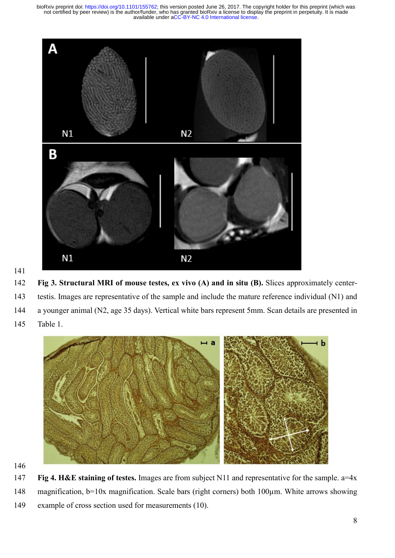

141

142 Fig 3. Structural MRI of mouse testes, ex vivo (A) and in situ (B). Slices approximately center-143 testis. Images are representative of the sample and include the mature reference individual (N1) and 144 a younger animal (N2, age 35 days). Vertical white bars represent 5mm. Scan details are presented in 145 Table 1.



147 Fig 4. H&E staining of testes. Images are from subject N11 and representative for the sample. a=4x 148 magnification, b=10x magnification. Scale bars (right corners) both 100 $\mu$ m. White arrows showing 149 example of cross section used for measurements (10).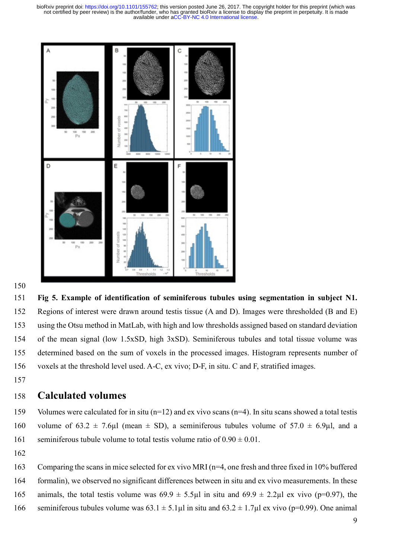

#### 150

151 Fig 5. Example of identification of seminiferous tubules using segmentation in subject N1. 152 Regions of interest were drawn around testis tissue (A and D). Images were thresholded (B and E) 153 using the Otsu method in MatLab, with high and low thresholds assigned based on standard deviation 154 of the mean signal (low 1.5xSD, high 3xSD). Seminiferous tubules and total tissue volume was 155 determined based on the sum of voxels in the processed images. Histogram represents number of 156 voxels at the threshold level used. A-C, ex vivo; D-F, in situ. C and F, stratified images.

157

#### 158 Calculated volumes

159 Volumes were calculated for in situ (n=12) and ex vivo scans (n=4). In situ scans showed a total testis 160 volume of 63.2  $\pm$  7.6µl (mean  $\pm$  SD), a seminiferous tubules volume of 57.0  $\pm$  6.9µl, and a 161 seminiferous tubule volume to total testis volume ratio of  $0.90 \pm 0.01$ .

- 162
- 163 Comparing the scans in mice selected for ex vivo MRI (n=4, one fresh and three fixed in 10% buffered
- 164 formalin), we observed no significant differences between in situ and ex vivo measurements. In these
- 165 animals, the total testis volume was  $69.9 \pm 5.5 \mu$  in situ and  $69.9 \pm 2.2 \mu$  ex vivo (p=0.97), the
- 166 seminiferous tubules volume was  $63.1 \pm 5.1 \mu$ l in situ and  $63.2 \pm 1.7 \mu$ l ex vivo (p=0.99). One animal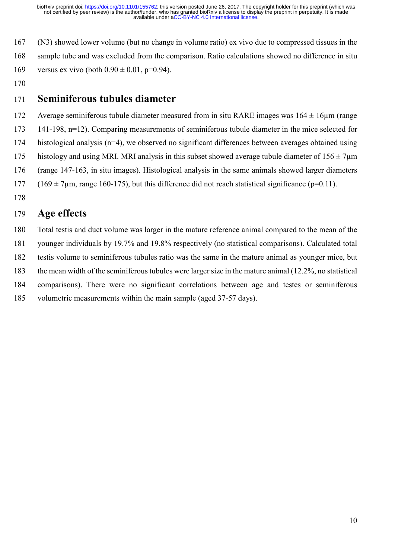167 (N3) showed lower volume (but no change in volume ratio) ex vivo due to compressed tissues in the 168 sample tube and was excluded from the comparison. Ratio calculations showed no difference in situ 169 versus ex vivo (both  $0.90 \pm 0.01$ , p=0.94).

170

#### 171 Seminiferous tubules diameter

172 Average seminiferous tubule diameter measured from in situ RARE images was  $164 \pm 16$ um (range 173 141-198, n=12). Comparing measurements of seminiferous tubule diameter in the mice selected for 174 histological analysis (n=4), we observed no significant differences between averages obtained using 175 histology and using MRI. MRI analysis in this subset showed average tubule diameter of  $156 \pm 7$ um 176 (range 147-163, in situ images). Histological analysis in the same animals showed larger diameters 177 (169  $\pm$  7µm, range 160-175), but this difference did not reach statistical significance (p=0.11). 178

## 179 Age effects

180 Total testis and duct volume was larger in the mature reference animal compared to the mean of the 181 younger individuals by 19.7% and 19.8% respectively (no statistical comparisons). Calculated total 182 testis volume to seminiferous tubules ratio was the same in the mature animal as younger mice, but 183 the mean width of the seminiferous tubules were larger size in the mature animal (12.2%, no statistical 184 comparisons). There were no significant correlations between age and testes or seminiferous 185 volumetric measurements within the main sample (aged 37-57 days).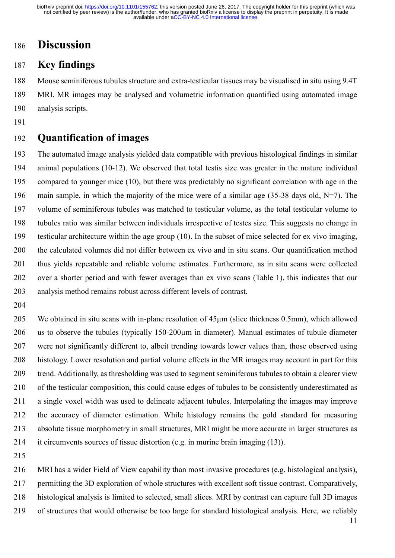# 186 Discussion

#### 187 Key findings

188 Mouse seminiferous tubules structure and extra-testicular tissues may be visualised in situ using 9.4T 189 MRI. MR images may be analysed and volumetric information quantified using automated image 190 analysis scripts.

191

#### 192 Quantification of images

193 The automated image analysis yielded data compatible with previous histological findings in similar 194 animal populations (10-12). We observed that total testis size was greater in the mature individual 195 compared to younger mice (10), but there was predictably no significant correlation with age in the 196 main sample, in which the majority of the mice were of a similar age (35-38 days old,  $N=7$ ). The 197 volume of seminiferous tubules was matched to testicular volume, as the total testicular volume to 198 tubules ratio was similar between individuals irrespective of testes size. This suggests no change in 199 testicular architecture within the age group (10). In the subset of mice selected for ex vivo imaging, 200 the calculated volumes did not differ between ex vivo and in situ scans. Our quantification method 201 thus yields repeatable and reliable volume estimates. Furthermore, as in situ scans were collected 202 over a shorter period and with fewer averages than ex vivo scans (Table 1), this indicates that our 203 analysis method remains robust across different levels of contrast.

204

205 We obtained in situ scans with in-plane resolution of 45µm (slice thickness 0.5mm), which allowed 206 us to observe the tubules (typically 150-200µm in diameter). Manual estimates of tubule diameter 207 were not significantly different to, albeit trending towards lower values than, those observed using 208 histology. Lower resolution and partial volume effects in the MR images may account in part for this 209 trend. Additionally, as thresholding was used to segment seminiferous tubules to obtain a clearer view 210 of the testicular composition, this could cause edges of tubules to be consistently underestimated as 211 a single voxel width was used to delineate adjacent tubules. Interpolating the images may improve 212 the accuracy of diameter estimation. While histology remains the gold standard for measuring 213 absolute tissue morphometry in small structures, MRI might be more accurate in larger structures as 214 it circumvents sources of tissue distortion (e.g. in murine brain imaging (13)).

215

216 MRI has a wider Field of View capability than most invasive procedures (e.g. histological analysis), 217 permitting the 3D exploration of whole structures with excellent soft tissue contrast. Comparatively, 218 histological analysis is limited to selected, small slices. MRI by contrast can capture full 3D images 219 of structures that would otherwise be too large for standard histological analysis. Here, we reliably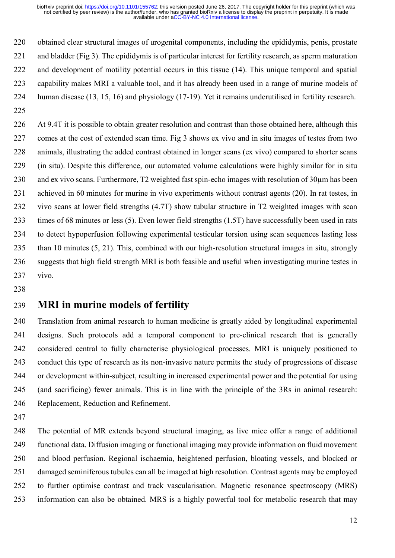220 obtained clear structural images of urogenital components, including the epididymis, penis, prostate 221 and bladder (Fig 3). The epididymis is of particular interest for fertility research, as sperm maturation 222 and development of motility potential occurs in this tissue (14). This unique temporal and spatial 223 capability makes MRI a valuable tool, and it has already been used in a range of murine models of 224 human disease (13, 15, 16) and physiology (17-19). Yet it remains underutilised in fertility research.

225

226 At 9.4T it is possible to obtain greater resolution and contrast than those obtained here, although this 227 comes at the cost of extended scan time. Fig 3 shows ex vivo and in situ images of testes from two 228 animals, illustrating the added contrast obtained in longer scans (ex vivo) compared to shorter scans 229 (in situ). Despite this difference, our automated volume calculations were highly similar for in situ 230 and ex vivo scans. Furthermore, T2 weighted fast spin-echo images with resolution of 30µm has been 231 achieved in 60 minutes for murine in vivo experiments without contrast agents (20). In rat testes, in 232 vivo scans at lower field strengths (4.7T) show tubular structure in T2 weighted images with scan 233 times of 68 minutes or less (5). Even lower field strengths (1.5T) have successfully been used in rats 234 to detect hypoperfusion following experimental testicular torsion using scan sequences lasting less 235 than 10 minutes (5, 21). This, combined with our high-resolution structural images in situ, strongly 236 suggests that high field strength MRI is both feasible and useful when investigating murine testes in 237 vivo.

238

## 239 MRI in murine models of fertility

240 Translation from animal research to human medicine is greatly aided by longitudinal experimental 241 designs. Such protocols add a temporal component to pre-clinical research that is generally 242 considered central to fully characterise physiological processes. MRI is uniquely positioned to 243 conduct this type of research as its non-invasive nature permits the study of progressions of disease 244 or development within-subject, resulting in increased experimental power and the potential for using 245 (and sacrificing) fewer animals. This is in line with the principle of the 3Rs in animal research: 246 Replacement, Reduction and Refinement.

247

248 The potential of MR extends beyond structural imaging, as live mice offer a range of additional 249 functional data. Diffusion imaging or functional imaging may provide information on fluid movement 250 and blood perfusion. Regional ischaemia, heightened perfusion, bloating vessels, and blocked or 251 damaged seminiferous tubules can all be imaged at high resolution. Contrast agents may be employed 252 to further optimise contrast and track vascularisation. Magnetic resonance spectroscopy (MRS) 253 information can also be obtained. MRS is a highly powerful tool for metabolic research that may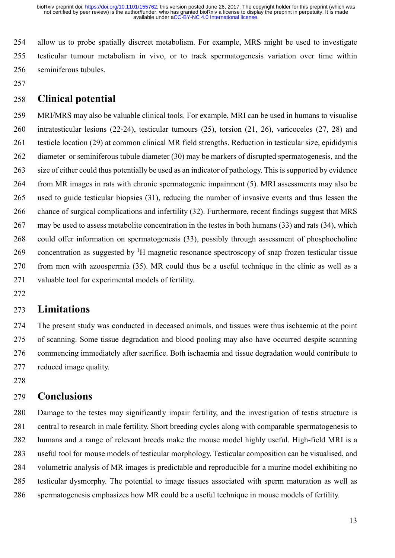254 allow us to probe spatially discreet metabolism. For example, MRS might be used to investigate 255 testicular tumour metabolism in vivo, or to track spermatogenesis variation over time within 256 seminiferous tubules.

257

## 258 Clinical potential

259 MRI/MRS may also be valuable clinical tools. For example, MRI can be used in humans to visualise 260 intratesticular lesions (22-24), testicular tumours (25), torsion (21, 26), varicoceles (27, 28) and 261 testicle location (29) at common clinical MR field strengths. Reduction in testicular size, epididymis 262 diameter or seminiferous tubule diameter (30) may be markers of disrupted spermatogenesis, and the 263 size of either could thus potentially be used as an indicator of pathology. This is supported by evidence 264 from MR images in rats with chronic spermatogenic impairment (5). MRI assessments may also be 265 used to guide testicular biopsies (31), reducing the number of invasive events and thus lessen the 266 chance of surgical complications and infertility (32). Furthermore, recent findings suggest that MRS 267 may be used to assess metabolite concentration in the testes in both humans (33) and rats (34), which 268 could offer information on spermatogenesis (33), possibly through assessment of phosphocholine 269 concentration as suggested by  ${}^{1}H$  magnetic resonance spectroscopy of snap frozen testicular tissue 270 from men with azoospermia (35). MR could thus be a useful technique in the clinic as well as a 271 valuable tool for experimental models of fertility.

272

#### 273 Limitations

274 The present study was conducted in deceased animals, and tissues were thus ischaemic at the point 275 of scanning. Some tissue degradation and blood pooling may also have occurred despite scanning 276 commencing immediately after sacrifice. Both ischaemia and tissue degradation would contribute to 277 reduced image quality.

278

#### 279 Conclusions

280 Damage to the testes may significantly impair fertility, and the investigation of testis structure is 281 central to research in male fertility. Short breeding cycles along with comparable spermatogenesis to 282 humans and a range of relevant breeds make the mouse model highly useful. High-field MRI is a 283 useful tool for mouse models of testicular morphology. Testicular composition can be visualised, and 284 volumetric analysis of MR images is predictable and reproducible for a murine model exhibiting no 285 testicular dysmorphy. The potential to image tissues associated with sperm maturation as well as 286 spermatogenesis emphasizes how MR could be a useful technique in mouse models of fertility.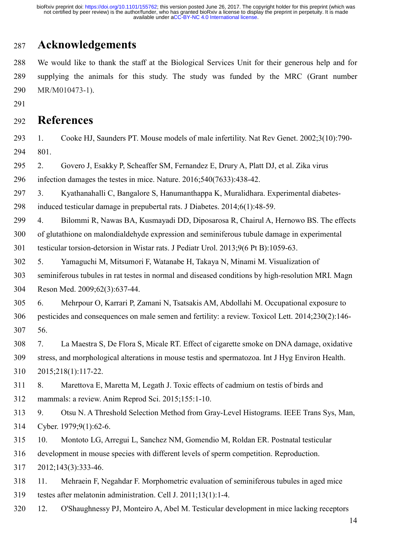# 287 Acknowledgements

288 We would like to thank the staff at the Biological Services Unit for their generous help and for 289 supplying the animals for this study. The study was funded by the MRC (Grant number 290 MR/M010473-1).

291

#### 292 References

293 1. Cooke HJ, Saunders PT. Mouse models of male infertility. Nat Rev Genet. 2002;3(10):790- 294 801.

295 2. Govero J, Esakky P, Scheaffer SM, Fernandez E, Drury A, Platt DJ, et al. Zika virus 296 infection damages the testes in mice. Nature. 2016;540(7633):438-42.

297 3. Kyathanahalli C, Bangalore S, Hanumanthappa K, Muralidhara. Experimental diabetes-

298 induced testicular damage in prepubertal rats. J Diabetes. 2014;6(1):48-59.

299 4. Bilommi R, Nawas BA, Kusmayadi DD, Diposarosa R, Chairul A, Hernowo BS. The effects

300 of glutathione on malondialdehyde expression and seminiferous tubule damage in experimental 301 testicular torsion-detorsion in Wistar rats. J Pediatr Urol. 2013;9(6 Pt B):1059-63.

302 5. Yamaguchi M, Mitsumori F, Watanabe H, Takaya N, Minami M. Visualization of 303 seminiferous tubules in rat testes in normal and diseased conditions by high-resolution MRI. Magn 304 Reson Med. 2009;62(3):637-44.

305 6. Mehrpour O, Karrari P, Zamani N, Tsatsakis AM, Abdollahi M. Occupational exposure to 306 pesticides and consequences on male semen and fertility: a review. Toxicol Lett. 2014;230(2):146- 307 56.

308 7. La Maestra S, De Flora S, Micale RT. Effect of cigarette smoke on DNA damage, oxidative 309 stress, and morphological alterations in mouse testis and spermatozoa. Int J Hyg Environ Health. 310 2015;218(1):117-22.

311 8. Marettova E, Maretta M, Legath J. Toxic effects of cadmium on testis of birds and 312 mammals: a review. Anim Reprod Sci. 2015;155:1-10.

313 9. Otsu N. A Threshold Selection Method from Gray-Level Histograms. IEEE Trans Sys, Man, 314 Cyber. 1979;9(1):62-6.

315 10. Montoto LG, Arregui L, Sanchez NM, Gomendio M, Roldan ER. Postnatal testicular

316 development in mouse species with different levels of sperm competition. Reproduction.

317 2012;143(3):333-46.

- 318 11. Mehraein F, Negahdar F. Morphometric evaluation of seminiferous tubules in aged mice 319 testes after melatonin administration. Cell J. 2011;13(1):1-4.
- 320 12. O'Shaughnessy PJ, Monteiro A, Abel M. Testicular development in mice lacking receptors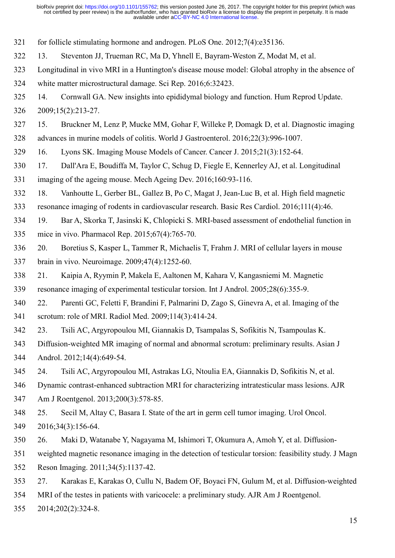321 for follicle stimulating hormone and androgen. PLoS One. 2012;7(4):e35136.

322 13. Steventon JJ, Trueman RC, Ma D, Yhnell E, Bayram-Weston Z, Modat M, et al.

323 Longitudinal in vivo MRI in a Huntington's disease mouse model: Global atrophy in the absence of

324 white matter microstructural damage. Sci Rep. 2016;6:32423.

325 14. Cornwall GA. New insights into epididymal biology and function. Hum Reprod Update. 326 2009;15(2):213-27.

327 15. Bruckner M, Lenz P, Mucke MM, Gohar F, Willeke P, Domagk D, et al. Diagnostic imaging 328 advances in murine models of colitis. World J Gastroenterol. 2016;22(3):996-1007.

329 16. Lyons SK. Imaging Mouse Models of Cancer. Cancer J. 2015;21(3):152-64.

330 17. Dall'Ara E, Boudiffa M, Taylor C, Schug D, Fiegle E, Kennerley AJ, et al. Longitudinal 331 imaging of the ageing mouse. Mech Ageing Dev. 2016;160:93-116.

332 18. Vanhoutte L, Gerber BL, Gallez B, Po C, Magat J, Jean-Luc B, et al. High field magnetic

333 resonance imaging of rodents in cardiovascular research. Basic Res Cardiol. 2016;111(4):46.

334 19. Bar A, Skorka T, Jasinski K, Chlopicki S. MRI-based assessment of endothelial function in 335 mice in vivo. Pharmacol Rep. 2015;67(4):765-70.

336 20. Boretius S, Kasper L, Tammer R, Michaelis T, Frahm J. MRI of cellular layers in mouse 337 brain in vivo. Neuroimage. 2009;47(4):1252-60.

338 21. Kaipia A, Ryymin P, Makela E, Aaltonen M, Kahara V, Kangasniemi M. Magnetic

339 resonance imaging of experimental testicular torsion. Int J Androl. 2005;28(6):355-9.

340 22. Parenti GC, Feletti F, Brandini F, Palmarini D, Zago S, Ginevra A, et al. Imaging of the 341 scrotum: role of MRI. Radiol Med. 2009;114(3):414-24.

342 23. Tsili AC, Argyropoulou MI, Giannakis D, Tsampalas S, Sofikitis N, Tsampoulas K.

343 Diffusion-weighted MR imaging of normal and abnormal scrotum: preliminary results. Asian J 344 Androl. 2012;14(4):649-54.

345 24. Tsili AC, Argyropoulou MI, Astrakas LG, Ntoulia EA, Giannakis D, Sofikitis N, et al.

346 Dynamic contrast-enhanced subtraction MRI for characterizing intratesticular mass lesions. AJR

347 Am J Roentgenol. 2013;200(3):578-85.

348 25. Secil M, Altay C, Basara I. State of the art in germ cell tumor imaging. Urol Oncol. 349 2016;34(3):156-64.

350 26. Maki D, Watanabe Y, Nagayama M, Ishimori T, Okumura A, Amoh Y, et al. Diffusion-

351 weighted magnetic resonance imaging in the detection of testicular torsion: feasibility study. J Magn

352 Reson Imaging. 2011;34(5):1137-42.

353 27. Karakas E, Karakas O, Cullu N, Badem OF, Boyaci FN, Gulum M, et al. Diffusion-weighted

354 MRI of the testes in patients with varicocele: a preliminary study. AJR Am J Roentgenol.

355 2014;202(2):324-8.